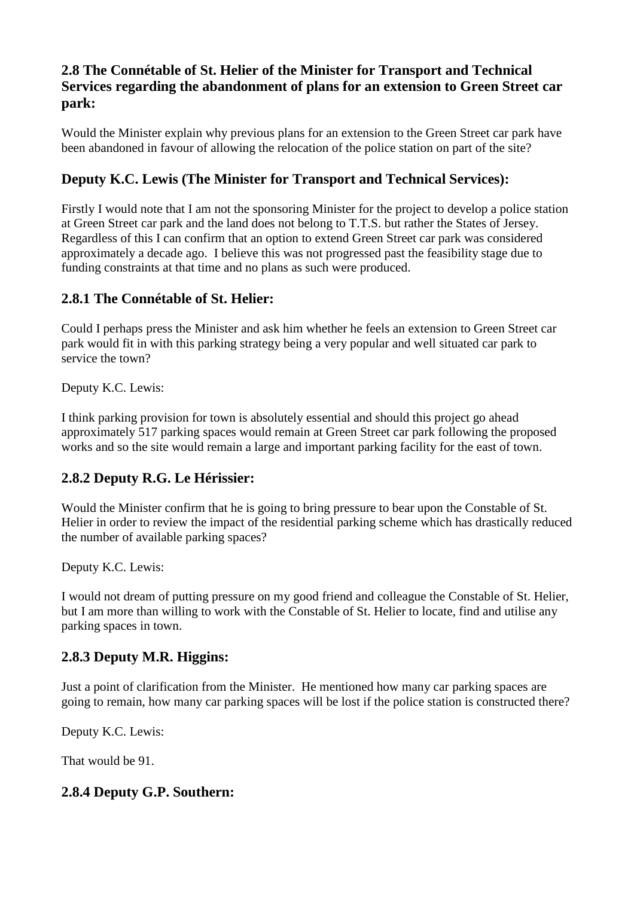## **2.8 The Connétable of St. Helier of the Minister for Transport and Technical Services regarding the abandonment of plans for an extension to Green Street car park:**

Would the Minister explain why previous plans for an extension to the Green Street car park have been abandoned in favour of allowing the relocation of the police station on part of the site?

# **Deputy K.C. Lewis (The Minister for Transport and Technical Services):**

Firstly I would note that I am not the sponsoring Minister for the project to develop a police station at Green Street car park and the land does not belong to T.T.S. but rather the States of Jersey. Regardless of this I can confirm that an option to extend Green Street car park was considered approximately a decade ago. I believe this was not progressed past the feasibility stage due to funding constraints at that time and no plans as such were produced.

## **2.8.1 The Connétable of St. Helier:**

Could I perhaps press the Minister and ask him whether he feels an extension to Green Street car park would fit in with this parking strategy being a very popular and well situated car park to service the town?

Deputy K.C. Lewis:

I think parking provision for town is absolutely essential and should this project go ahead approximately 517 parking spaces would remain at Green Street car park following the proposed works and so the site would remain a large and important parking facility for the east of town.

## **2.8.2 Deputy R.G. Le Hérissier:**

Would the Minister confirm that he is going to bring pressure to bear upon the Constable of St. Helier in order to review the impact of the residential parking scheme which has drastically reduced the number of available parking spaces?

Deputy K.C. Lewis:

I would not dream of putting pressure on my good friend and colleague the Constable of St. Helier, but I am more than willing to work with the Constable of St. Helier to locate, find and utilise any parking spaces in town.

## **2.8.3 Deputy M.R. Higgins:**

Just a point of clarification from the Minister. He mentioned how many car parking spaces are going to remain, how many car parking spaces will be lost if the police station is constructed there?

Deputy K.C. Lewis:

That would be 91.

## **2.8.4 Deputy G.P. Southern:**